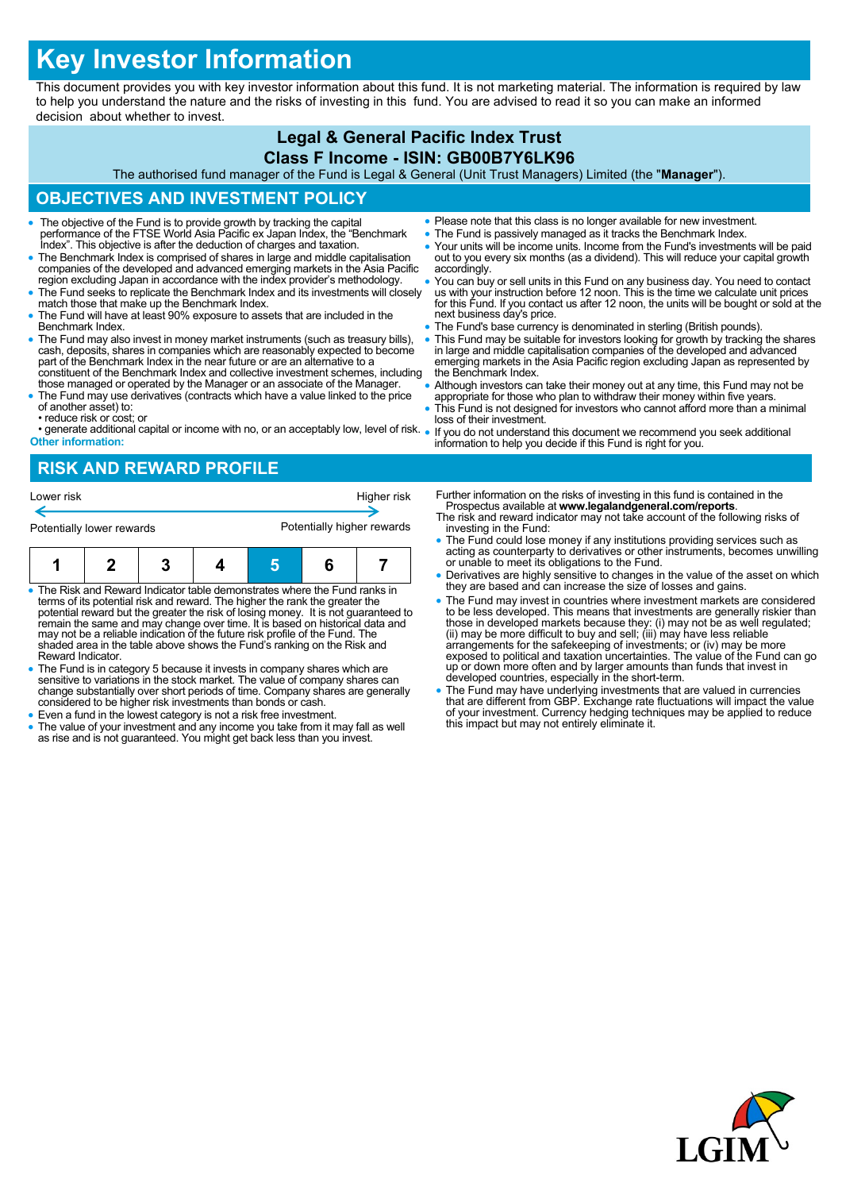# **Key Investor Information**

This document provides you with key investor information about this fund. It is not marketing material. The information is required by law to help you understand the nature and the risks of investing in this fund. You are advised to read it so you can make an informed decision about whether to invest.

#### **Legal & General Pacific Index Trust Class F Income - ISIN: GB00B7Y6LK96** The authorised fund manager of the Fund is Legal & General (Unit Trust Managers) Limited (the "**Manager**"). **OBJECTIVES AND INVESTMENT POLICY** The objective of the Fund is to provide growth by tracking the capital performance of the FTSE World Asia Pacific ex Japan Index, the "Benchmark Index". This objective is after the deduction of charges and taxation. The Benchmark Index is comprised of shares in large and middle capitalisation companies of the developed and advanced emerging markets in the Asia Pacific region excluding Japan in accordance with the index provider's methodology. The Fund seeks to replicate the Benchmark Index and its investments will closely match those that make up the Benchmark Index. The Fund will have at least 90% exposure to assets that are included in the Benchmark Index. • The Fund may also invest in money market instruments (such as treasury bills), cash, deposits, shares in companies which are reasonably expected to become part of the Benchmark Index in the near future or are an alternat constituent of the Benchmark Index and collective investment schemes, including those managed or operated by the Manager or an associate of the Manager. The Fund may use derivatives (contracts which have a value linked to the price of another asset) to: • reduce risk or cost; or • generate additional capital or income with no, or an acceptably low, level of risk. **Other information:** • Please note that this class is no longer available for new investment. The Fund is passively managed as it tracks the Benchmark Index. Your units will be income units. Income from the Fund's investments will be paid out to you every six months (as a dividend). This will reduce your capital growth accordingly. You can buy or sell units in this Fund on any business day. You need to contact us with your instruction before 12 noon. This is the time we calculate unit prices for this Fund. If you contact us after 12 noon, the units will be bought or sold at the next business day's price. The Fund's base currency is denominated in sterling (British pounds). This Fund may be suitable for investors looking for growth by tracking the shares in large and middle capitalisation companies of the developed and advanced emerging markets in the Asia Pacific region excluding Japan as represented by the Benchmark Index. Although investors can take their money out at any time, this Fund may not be appropriate for those who plan to withdraw their money within five years. This Fund is not designed for investors who cannot afford more than a minimal loss of their investment. If you do not understand this document we recommend you seek additional information to help you decide if this Fund is right for you. **RISK AND REWARD PROFILE** Further information on the risks of investing in this fund is contained in the Lower risk **Higher risk**

Potentially lower rewards **Potentially higher rewards 1 2 3 4 5 6 7**

- The Risk and Reward Indicator table demonstrates where the Fund ranks in terms of its potential risk and reward. The higher the rank the greater the potential reward but the greater the risk of losing money. It is not guaranteed to remain the same and may change over time. It is based on historical data and may not be a reliable indication of the future risk profile of the Fund. The shaded area in the table above shows the Fund's ranking on the Risk and Reward Indicator.
- The Fund is in category 5 because it invests in company shares which are<br>sensitive to variations in the stock market. The value of company shares can<br>change substantially over short periods of time. Company shares are ge considered to be higher risk investments than bonds or cash.
- Even a fund in the lowest category is not a risk free investment.
- The value of your investment and any income you take from it may fall as well as rise and is not guaranteed. You might get back less than you invest.
- 
- Prospectus available at **www.legalandgeneral.com/reports**. The risk and reward indicator may not take account of the following risks of investing in the Fund:
- The Fund could lose money if any institutions providing services such as acting as counterparty to derivatives or other instruments, becomes unwilling or unable to meet its obligations to the Fund.
- Derivatives are highly sensitive to changes in the value of the asset on which they are based and can increase the size of losses and gains.
- The Fund may invest in countries where investment markets are considered to be less developed. This means that investments are generally riskier than those in developed markets because they: (i) may not be as well regulated; (ii) may be more difficult to buy and sell; (iii) may have less reliable arrangements for the safekeeping of investments; or (iv) may be more exposed to political and taxation uncertainties. The value of the Fund can go up or down more often and by larger amounts than funds that invest in developed countries, especially in the short-term.
- The Fund may have underlying investments that are valued in currencies that are different from GBP. Exchange rate fluctuations will impact the value of your investment. Currency hedging techniques may be applied to reduce this impact but may not entirely eliminate it.